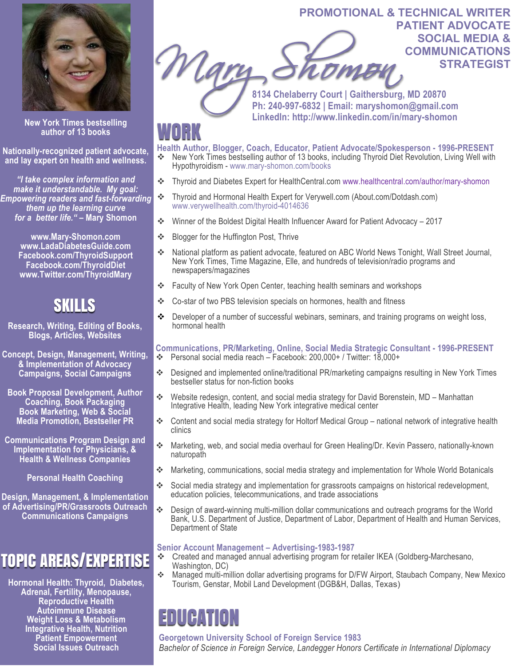

**New York Times bestselling author of 13 books**

**Nationally-recognized patient advocate, and lay expert on health and wellness.**

*"I take complex information and make it understandable. My goal: Empowering readers and fast-forwarding them up the learning curve for a better life."* **– Mary Shomon**

**www.Mary-Shomon.com www.LadaDiabetesGuide.com Facebook.com/ThyroidSupport Facebook.com/ThyroidDiet www.Twitter.com/ThyroidMary**

#### **SKILLS**

**Research, Writing, Editing of Books, Blogs, Articles, Websites**

**Concept, Design, Management, Writing, & Implementation of Advocacy Campaigns, Social Campaigns**

**Book Proposal Development, Author Coaching, Book Packaging Book Marketing, Web & Social Media Promotion, Bestseller PR**

**Communications Program Design and Implementation for Physicians, & Health & Wellness Companies**

**Personal Health Coaching**

**Design, Management, & Implementation of Advertising/PR/Grassroots Outreach Communications Campaigns**

## TOPIC AREAS/EXPERTISE

**Hormonal Health: Thyroid, Diabetes, Adrenal, Fertility, Menopause, Reproductive Health Autoimmune Disease Weight Loss & Metabolism Integrative Health, Nutrition Patient Empowerment Social Issues Outreach**

**PROMOTIONAL & TECHNICAL WRITER PATIENT ADVOCATE SOCIAL MEDIA &** Mg **COMMUNICATIONS** OMEN **STRATEGIST**

**8134 Chelaberry Court | Gaithersburg, MD 20870 Ph: 240-997-6832 | Email: maryshomon@gmail.com LinkedIn: http://www.linkedin.com/in/mary-shomon**

#### WORK

**Health Author, Blogger, Coach, Educator, Patient Advocate/Spokesperson - 1996-PRESENT**

- v New York Times bestselling author of 13 books, including Thyroid Diet Revolution, Living Well with Hypothyroidism - www.mary-shomon.com/books
- v Thyroid and Diabetes Expert for HealthCentral.com www.healthcentral.com/author/mary-shomon
- v Thyroid and Hormonal Health Expert for Verywell.com (About.com/Dotdash.com) www.verywellhealth.com/thyroid-4014636
- v Winner of the Boldest Digital Health Influencer Award for Patient Advocacy 2017
- ❖ Blogger for the Huffington Post, Thrive
- v National platform as patient advocate, featured on ABC World News Tonight, Wall Street Journal, New York Times, Time Magazine, Elle, and hundreds of television/radio programs and newspapers/magazines
- \* Faculty of New York Open Center, teaching health seminars and workshops
- v Co-star of two PBS television specials on hormones, health and fitness
- $\clubsuit$  Developer of a number of successful webinars, seminars, and training programs on weight loss, hormonal health

**Communications, PR/Marketing, Online, Social Media Strategic Consultant - 1996-PRESENT** v Personal social media reach – Facebook: 200,000+ / Twitter: 18,000+

- v Designed and implemented online/traditional PR/marketing campaigns resulting in New York Times bestseller status for non-fiction books
- v Website redesign, content, and social media strategy for David Borenstein, MD Manhattan Integrative Health, leading New York integrative medical center
- v Content and social media strategy for Holtorf Medical Group national network of integrative health clinics
- ❖ Marketing, web, and social media overhaul for Green Healing/Dr. Kevin Passero, nationally-known naturopath
- v Marketing, communications, social media strategy and implementation for Whole World Botanicals
- $\div$  Social media strategy and implementation for grassroots campaigns on historical redevelopment, education policies, telecommunications, and trade associations
- v Design of award-winning multi-million dollar communications and outreach programs for the World Bank, U.S. Department of Justice, Department of Labor, Department of Health and Human Services, Department of State

#### **Senior Account Management – Advertising-1983-1987**

- Created and managed annual advertising program for retailer IKEA (Goldberg-Marchesano, Washington, DC)
- Managed multi-million dollar advertising programs for D/FW Airport, Staubach Company, New Mexico Tourism, Genstar, Mobil Land Development (DGB&H, Dallas, Texas)

### EDUCATION

#### **Georgetown University School of Foreign Service 1983**

*Bachelor of Science in Foreign Service, Landegger Honors Certificate in International Diplomacy*